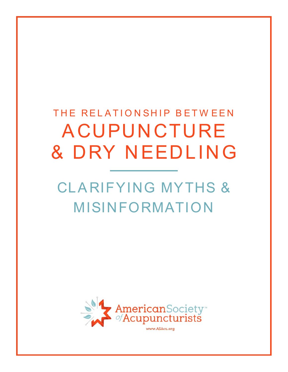# THE RELATIONSHIP BETWEEN A CUPUNCTURE & DRY NEEDLING

# CLA RIFYING MYTHS & MISINFORMATION

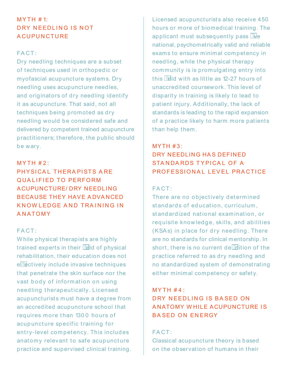# $MYTH # 1:$ DRY NEEDLING IS NOT **ACUPUNCTURE**

## FA CT :

Dry needling techniques are a subset of techniques used in orthopedic or myofascial acupuncture systems. Dry needling uses acupuncture needles, and originators of dry needling identify it as acupuncture. That said, not all techniques being promoted as dry needling would be considered safe and delivered by competent trained acupuncture practitioners; therefore, the public should be wary.

## $MYTH #2:$

PHYSICAL THERAPISTS ARE QUA LIFIED TO PERFORM A CUPUNCTURE/ DRY NEEDLING BECAUSE THEY HAVE A DVA NCED KNOW LEDGE A ND TRA INING IN ANATOMY

## FA CT :

While physical therapists are highly trained experts in their  $\Box$  and of physical rehabilitation, their education does not e **Rectively include invasive techniques** that penetrate the skin surface nor the vast body of information on using needling therapeutically. Licensed acupuncturists must have a degree from an accredited acupuncture school that requires more than 1300 hours of acupuncture specific training for entry-level competency. This includes anatomy relevant to safe acupuncture practice and supervised clinical training.

Licensed acupuncturists also receive 450 hours or more of biomedical training. The applicant must subsequently pass  $\mathbb{I}$ e national, psychometrically valid and reliable exams to ensure minimal competency in needling, while the physical therapy community is is promulgating entry into this  $\Box$  and with as little as 12-27 hours of unaccredited coursework. This level of disparity in training is likely to lead to patient injury. Additionally, the lack of standards is leading to the rapid expansion of a practice likely to harm more patients than help them.

#### $MYTH #3:$

# DRY NEEDLING HA S DEFINED STANDARDS TYPICAL OF A PROFESSIONA L LEVEL PRACTICE

# FA CT :

There are no objectively determined st and ards of education, curriculum, st andardized national examination, or requisite knowledge, skills, and abilities (KSAs) in place for dry needling. There are no standards for clinical mentorship. In short, there is no current de  $\blacksquare$ ition of the practice referred to as dry needling and no standardized system of demonstrating either minimal competency or safety.

## $MYTH #4:$

# DRY NEEDLING IS BA SED ON A NATOMY WHILE ACUPUNCTURE IS BA SED ON ENERGY

## FACT:

Classical acupuncture theory is based on the observation of humans in their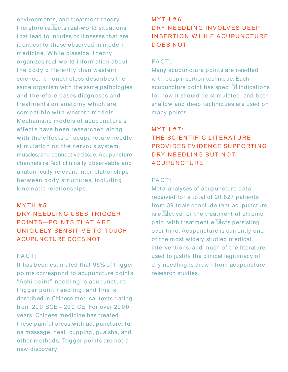environments, and treatment theory therefore re $\Box$  acts real-world situations that lead to injuries or illnesses that are identical to those observed in modern medicine. While classical theory organizes real-world information about the body differently than western science, it nonetheless describes the same organism with the same pathologies, and therefore bases diagnoses and treatments on anatomy which are compatible with western models. Mechanistic models of acupuncture's effects have been researched along with the effects of acupuncture needle stimulation on the nervous system, muscles, and connective tissue. Acupuncture  $channels$  re $E$  ct clinically observable and anatomically relevant interrelationships between body structures, including kinematic relationships.

#### $MYTH # 5:$

# DRY NEEDLING USES TRIGGER POINTS-POINTS THAT ARE UNIQUELY SENSITIVE TO TOUCH: ACUPUNCTURE DOES NOT

## FA CT :

It has been estimated that 95% of trigger points correspond to acupuncture points. "Ashi point" needling is acupuncture trigger point needling, and this is described in Chinese medical texts dating from 200 BCE – 200 CE. For over 2000 years, Chinese medicine has treated these painful areas with acupuncture, tui na massage, heat , cupping, gua sha, and other methods. Trigger points are not a new discovery.

#### $MYTH #6:$

# DRY NEEDLING INVOLVES DEEP IN SERTION WHILE ACUPUNCTURE DOES NOT

## FA CT :

Many acupuncture points are needled with deep insertion technique. Each acupuncture point has speci $\Box$  indications for how it should be stimulated, and both shallow and deep techniques are used on many points.

## $MYTH # 7:$

# THE SCIENTIFIC LITERATURE PROVIDES EVIDENCE SUPPORTING DRY NEEDLING BUT NOT **ACUPUNCTURE**

#### FA CT :

Meta-analyses of acupuncture data received for a total of 20 ,827 patients from 39 trials conclude that acupuncture is ellective for the treatment of chronic pain, with treatment  $e^{\frac{m}{2}}$ cts persisting over time. Acupuncture is currently one of the most widely studied medical interventions, and much of the literature used to justify the clinical legitimacy of dry needling is drawn from acupuncture research studies.